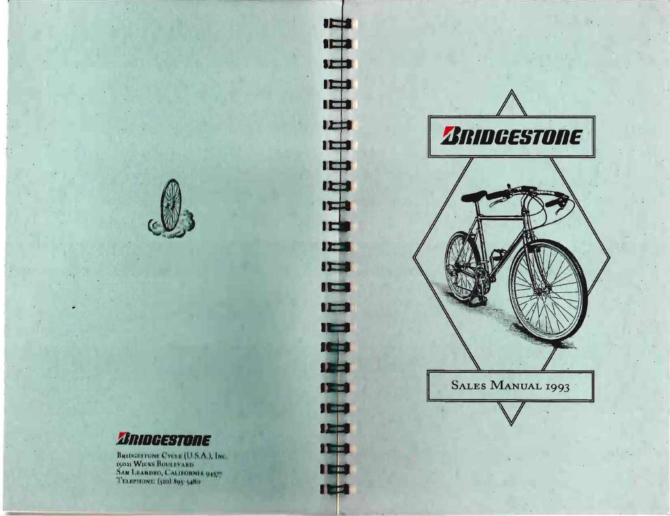

..

# **lImlllJEBTIIRE**

Bridgestone Cycle (U.S.A.), Inc<br>15021 Wicks Boutevard<br>San Leandro, California 94<del>17</del> **TELEPHONE:** (510) ROS 54RO

# **IEEE IEEE**  $1 - 1$  $\mathbf{H}$ IEE  $I<sub>II</sub>$  $\overline{1}$  $\overline{1}$  $IL = 1$  $17 - 4$  $1 - 1$  $12 - 1$  $12 - 1$ ICS 1150 113 **The Contract** 115 **A** Series **ICEN** 12 E **The Second Second**  $\mathbf{H}$  with **IEE**

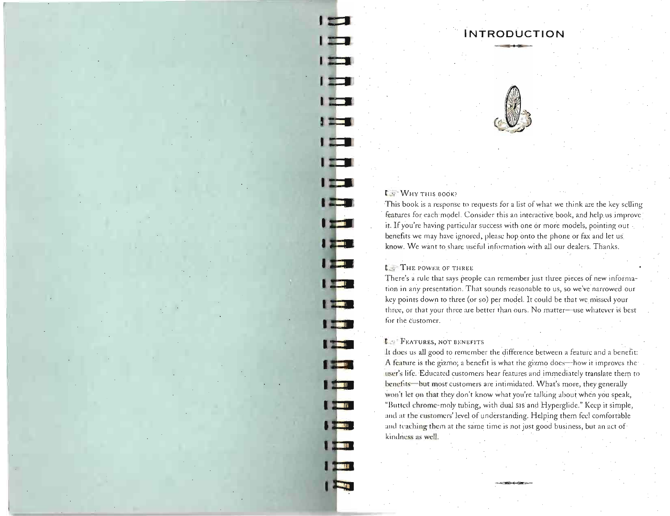# **INTRODUCTION**

# $t - W$ HY THIS BOOK?

**I** 

**I** 

I ST

I

<u>i ga</u>

**The Street** 

l Ser

**The Co** 

l Stan

 $\mathbf{I}$ 

**I TEXT** 

**IN BEA** 

**NST** 

**Alternative** 

**The South of the State** 

**TEM** 

**The simple** 

 $\mathbf{I}$  ,  $\mathbf{I}$ 

**The Second Second** 

**State** 

**I Take** 

**The Co** 

This book is a response to requests for a list of what we think are the key selling features for each model. Consider this an interactive book, and help us improve it. If you're having particular success with one or more models, pointing out benefits we may have ignored, please hop onto the phone or fax and let us know. We want to share useful information with all our dealers. Thanks.

# **[.... THE POWER OF THREE**

There's a nile that says people can remember just three pieces of new information in any presentation. That sounds reasonable to us, so we've narrowed our key points down to three (or so) per model. It could be that we missed your three, or that your three are better than ours. No matter-use whatever is best for the customer.

# **F.** FEATURES, NOT BENEFITS

It does us all good to remember the difference between a feature and a benefit: A feature is the gizmo; a benefit is what the gizmo does--how it improves the IIser's Life. Educated customers hear features and immediately translate them to henefits- but most customers are intimidated. What's more, they generally won't let on that they don't know what you're talking about when you speak, "Butted chrome-moly tubing, with dual slsand Hyperglide." Keep it simple, and at the customers' level of understanding. Helping them feel comfortable and teaching them at the same time is not just good business, but an act of kindness as well.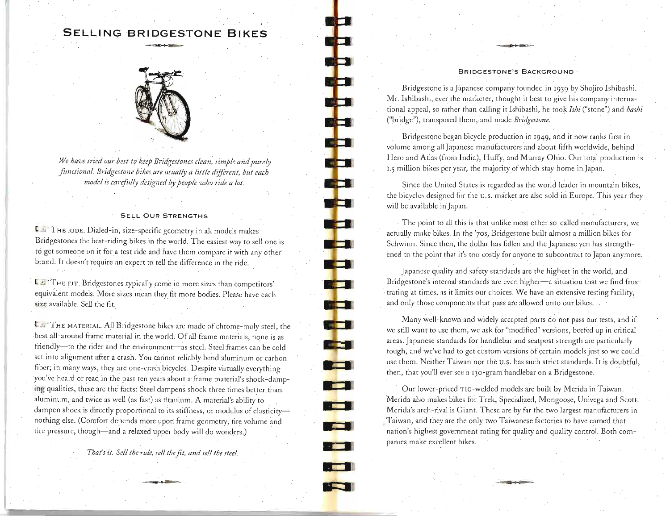# **SELLING BRIDGESTONE BIKES**



*We have tried our best to keep Bridgestones clean; simple and purely fimctional. Bridgestone bikes are usually a littie diJJerent, but each model is carefidly designed by people who ride a lot.* 

### **SELL** OUR STRENGTHS

l ji" THE IUDE. Dialed-in, size-specific geometry in all models· makes Bridgestones the best-riding bikes in the world. The easiest way to sell one is to get someone on it fora test ride and have them eompare it with any other brand. It doesn't require an expert to teU the difference in the ride.

t. 3- . THE FIT. Bridgcstones typically come in more sizes than competitors' equivalent models. More sizes mean they fit more bodies. Please have each size available. Sell the fit.

IF. THE MATERIAL. All Bridgestone bikes are made of chrome-moly steel, the best all-around frame material in the world. Of all frame materials, none is as friendly-to the rider and the environment-as steel. Steel frames can be coldset into alignment after a crash. You cannot reliably bend aluminum or carbon fiber; in many ways, they are one-crash bicycles. Despite virtually everything you've heard or read in the past ten years about a frame material's shock-damping qualities, these are the facts: Steel dampens shock three times better than aluminum, and twice as well (as fast) as titanium. A material's ability to dampen shock is directly proportional to its stiffness, or modulus of elasticitynothing else. (Comfort depends more upon frame geometry, tire volume and tire pressure, though-and a relaxed upper body will do wonders.)

*That's it. Se!! the ride, se!! the fit, and se!! the steel.* 

#### BRIDGESTONE'S BACKGROUND

Bridgestone is a Japanese company founded in 1939 by Shojiro Ishibashi. Mr. Ishibashi, ever the marketer, thought it best to give his company international appeal, so rather than calling it Ishibashi, he took *Ishi* ("stone") and *bashi*  ("bridge"), transposed them, and made *Bridgestone.* 

Bridgestone began bicycle production in 1949, and it now ranks first in volume among all Japanese manufacturers and about fifth worldwide, behind Hero and Atlas (from India), Huffy, and Murray Ohio. Our total production is 1.5 million bikes per year, the majority of which stay home in Japan.

Since the United States is regarded as the world leader in mountain bikes, the bicycles designed for the U.S. market are also sold in Europe. This year they will be available in Japan.

The point to all this is that unlike most other.so-called manufacturers, we actually make bikes. In the '70s, Bridgestone built almost a million bikes for Schwinn. Since then, the dollar has fallen and the Japanese yen has strengthened to the point that it's too costly for anyone to subcontract to Japan anymore.

Japanese quality and safety standards are the highest in the world, and Bridgestone's internal standards are even higher-a situation that we find frustrating at times, as it limits our choices. We have an extensive testing facility, and only those components that pass are allowed onto our bikes.

Many well-known and widely accepted parts do not pass our tests, and if we still want to use them, we ask for "modified" versions, beefed up in critical areas. Japanese standards for handlebar and seatpost strength are particularly tough, and we've had to get custom versions of certain models just so we could . use them. Neither Taiwan nor the u.s. has such strict standards. It is doubtful, then, that you'll ever see a 130-gram handlebar on a Bridgestone.

**• •** 

**MILLER** 

**Maria** 

**THE R** 

**THE R** 

**Report** 

**TELE** 

**TEMP** 

**Report** 

a a s

**LESS** 

nis 1

**Section** 

**COLOR** 

**• •** 

.~

Our lower-priced TIc-welded models are built by Merida in Taiwan. Merida also makes bikes for Trek, Specialized, Mongoose, Univega and Scott. Merida's arch-rival is Giant. These are by far the two largest manufacturers in Taiwan, and they are the only two Taiwanese factories to have carned that nation's highest government rating for quality and quality control. Both companies make excellent bikes.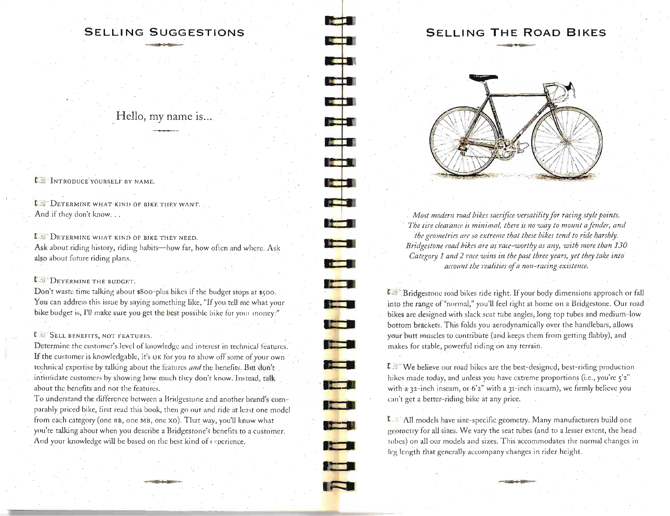# **S E LLI NG SUGGESTIONS**

la de la f

**REAL PROPERTY** 

**START OF BU** 

**REGISTER** 

**THE T** 

**DESCRIPTION** 

**Kata** 

<u>i të t</u>

**Ta** 

**The Contract of the Contract of the Contract of the Contract of the Contract of the Contract of the Contract of the Contract of the Contract of the Contract of the Contract of the Contract of the Contract of the Contract** 

**Theme** 

 $\frac{1}{2}$ 

**The Co** 

**The Co** 

**KET** 

**REAL** 

**Itali** 

**The Co** 

Hello, my name is...

I INTRODUCE YOURSELF BY NAME.

L:"J DETERMINE WHAT-KINI) OF BIKE TIlEY WANT. And if they don't know...

**L DETERMINE WHAT KIND OF BIKE THEY NEED.** Ask about riding history, riding habits-how far, how often and where. Ask also about future riding plans.

# **LET** DETERMINE THE BUDGET.

Don't waste time talking about \$800-plus bikes if the budget stops at \$500. You can address this issue by saying something like, "If you tell me what your bike budget is, I'll make sure you get the best possible bike for your money."

# IST SELL BENEFITS, NOT FEATURES.

Determine the customer's level of knowledge and interest in technical features. If the customer is knowledgable, it's OK for you to show off some of your own technical expertise by talking about the features *and* the benefits. But don't intimidate customers by showing how much they don't know. Instead, talk about the benefits and not the features.

To understand the difference between a Bridgestone and another brand's comparably priced bike, first read this book, then go out and ride at least one model from each category (one RB, one MB, one XO). That way, you'll know what you're talking about when you describe a Bridgestone's benefits to a customer. And your knowledge will be based on the best kind of experience.

~=

# **SELLING THE ROAD BIKES**



*Most modern road bikes sacrifice versatility for racing style points. The tire clearance is minimal, there is no way to mount a fender, and* the geometries are so extreme that these bikes tend to ride harshly. *Bridgestone road hikes are as race-worthy as any, with more than 130 Category* 1 *and* 2 *race wins in the past three years, yet they take into accollnttbe realities* of *a non-racing existence.* 

1l ."I ' Bridgestone road bikes ride right. If your body dimensions approach or fall into the range of "normal," you'll feel right at home on a Bridgestone. Our road bikes arc designed with slack scat rube angles, long top tubes and medium-low bottom brackets. This folds *you* aerodynamically over the handlebars, allows your butt muscles to contribute (and keeps them from getting flabby), and makes for stable, powerful riding on any terrain.

[ .j We believe our road bikes are the best-designed, best-riding production hikes made today, and unless you have extreme proportions (i.e., you're 5'2" with a 32-inch inseam, or 6'2" with a 31-inch inseam), we firmly believe you can't get a better-riding bike at any price.

 $t$  1 All models have size-specific geometry. Many manufacturers build one geometry for all sizes. We vary the seat tubes (and to a lesser extent, the head lubes) on all our models and sizes. This accommodates the normal changes in teg length that generally accompany changes in rider height.

-~~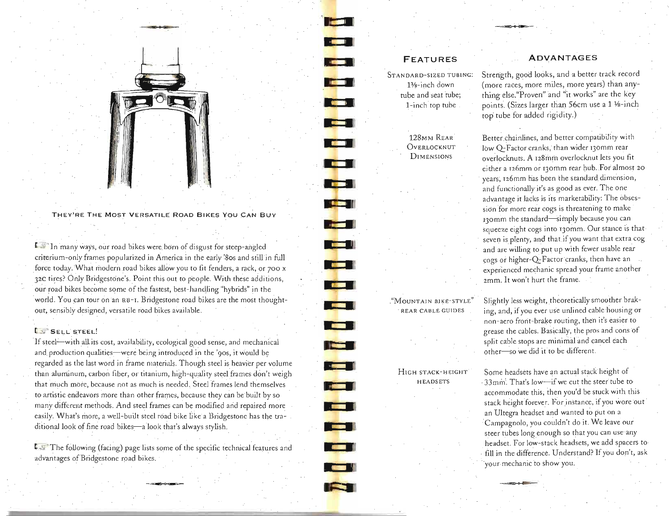

**=- , ..,.** 

THEy'RE THE MOST VERSATILE ROAD BIKES You CAN BUY

**t.** In many ways, our road bikes were born of disgust for steep-angled criterium-only frames popularized in America in the early '80s and still in full force today. What modern road bikes allow you to fit fenders, a rack, or 700 x 32C tires? Only Bridgestone's. Point this out to people. With these additions, our road bikes become some of the fastest, best-handling "hybrids" in the world. You can tour on an RB-I. Bridgestone road bikes are the most thoughtout, sensibly designed, versatile road bikes available.

# $t_{\rm s}$  . Sell steel!

If steel-with all its cost, availability, ecological good sense, and mechanical and production qualities—were being introduced in the '90s, it would be regarded as the last word in frame materials. Though steel is heavier per volume than aluminum, carbon fiber, or titanium, high-quality steel frames don't weigh that much mbre, because not as much is needed. Steel frames lend themselves to artistic endeavors more than other frames, because they can be built by so many different methods. And steel frames can be modified and repaired more easily. What's more, a well-built steel road bike like a Bridgestone has the traditional look of fine road bikes—a look that's always stylish.

 $t$ . The following (facing) page lists some of the specific technical features and advantages of Bridgestone road bikes.

# **FEATURES**

**It.** 

**•** WI

**•** 

**•** 

**RESERVE** 

and the state of the state of the state of the state of the state of the state of the state of the state of the state of the state of the state of the state of the state of the state of the state of the state of the state

التحق

**• •** 

i <del>e se</del>

 $\mathbf{E} = \frac{\mathbf{E} \cdot \mathbf{E} \cdot \mathbf{E} \cdot \mathbf{E} \cdot \mathbf{E} \cdot \mathbf{E} \cdot \mathbf{E} \cdot \mathbf{E} \cdot \mathbf{E} \cdot \mathbf{E} \cdot \mathbf{E} \cdot \mathbf{E} \cdot \mathbf{E} \cdot \mathbf{E} \cdot \mathbf{E} \cdot \mathbf{E} \cdot \mathbf{E} \cdot \mathbf{E} \cdot \mathbf{E} \cdot \mathbf{E} \cdot \mathbf{E} \cdot \mathbf{E} \cdot \mathbf{E} \cdot \mathbf{E} \cdot \mathbf{E} \cdot \mathbf{E} \cdot \mathbf$ 

 $\blacksquare$ 

**• •** 

STANDARD-SIZED TUBING:  $1\%$ -inch down tube and seat jube; 1-inch top tube

# **ADVANTAGES**

Strength, good looks, and a better track record (more races, more miles, more years) than anything else."Proven" and "it works" are the key points. (Sizes larger than 56cm use a 1 1/8-inch top tube for added rigidity.)

128MM REAR Better chainlines, and better compatibility with OVERLOCKNUT low O-Factor cranks, than wider 130mm rear DIMENSIONS overlocknuts. A 128mm overlocknut lets you fit either a I26mm or 130mm rear hub. For almost 20 years; I26mm has been the standard. dimension, and functionally it's as good as ever. The one advantage it lacks is its marketability: The obsession for more rear cogs is threatening to make 130mm the standard-simply because you can squeeze eight cogs into 130mm. Our stance is that· seven is plenty, and that if you want that extra cog and are willing to put up with fewer usable rear cogs or higher-Q-Factor cranks, then have an experienced mechanic spread your frame another *zmm.* It won't hurt the frame .

."MOUNTA] N BIKE-STYLE" Slightly less weight, theoretically smoother brak- REAR CABLE GUIDES ing, and, if you ever use unlined cable housing or non-aero front-brake routing, then it's easier to grease the cables. Basically, the pros and cons of split cable stops are minimal and cancel each other-so we did it to be different.

HIGH STACK-HEIGHT Some headsets have an actual stack height of HEADSETS . 33mm'. That's low-if we cut the steer tube to accommodate this; then you'd be stuck with this stack height forever. For instance, if you wore out an Ultegra headset and wanted to put on a Campagnolo, you couldn't do it. We leave our steer tubes long enough so that you can use any . headset. For low-stack headsets, we add spacers to fill in the difference. Understand? If you don't, ask ·your mechanic to show you.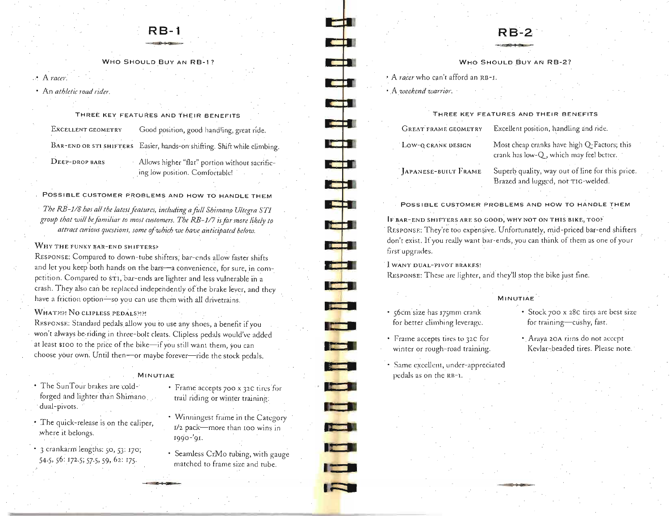# **RB-1**

WHO SHOULD BUY AN RB-l?

# • A *mcer.*

An *athletic road rider.* 

# THREE KEY FEATURES AND THEIR BENEFITS

| EXCELLENT GEOMETRY | Good position, good handling, great ride.                                          |
|--------------------|------------------------------------------------------------------------------------|
|                    | BAR-END OR STI SHIFTERS Easier, hands-on shifting. Shift while climbing.           |
| DEEP-DROP BARS     | - Allows higher "flat" portion without sacrific-<br>ing low position. Comfortable! |

# POSSIBLE CUSTOMER PROBLEMS AND HOW TO HANDLE THEM

The RB-1/8 has all the latest features, including a full Shimano Ultegra STI *group that will be fomiliaT to most customers. The RB* -1/7 *is for more likely to*  attract curions questions, some of which we have anticipated below.

# WHY THE FUNKY BAR-END SHIFTERS?

RESPONSE: Compared to down-tube shifters; bar-ends allow faster shifts and let you keep both hands on the bars-a convenience, for sure, in competition. Compared to st1, bar-ends are lighter and less vulnerable in a crash. T hey also can be replaced independently of the brake lever, and they have a friction option-so you can use them with all drivetrains.

# WHAT?!?! NO CLIPLESS PEDALS?!?!

RESPONSE: Standard pedals allow you to use any shoes, a benefit if you won't always be riding in three-bolt cleats. Clipless pedals would've added at least \$100 to the price of the bike-if you still want them, you can choose your own. Until then-or maybe forever-ride the stock pedals.

# MINUTIAE

- The SunTour brakes are cold- Frame accepts 700 x 32C tires for forged and lighter than Shimano trail riding or winter training: dual-pivots.
- The quick-release is on the caliper, where it belongs.
- . 3 crankarm lengths: 50, 53: *qo;*  54-5,56: I72·5; 57·5, 59,62: I75·
- 
- Winningest frame in the Category I/2 pack-more than 100 wins in I990 -'9I.
- Seamless CrMo tubing, with gauge matched to frame size and tube.

# $R_{R-2}$

# WHO SHOULD BUY AN RB-2?

.. A *racer* who can't afford an RB-I.

· .A. *weekend wanior.* 

• **,--]**  ... r.]

i in T

**COL** 

.: **III'** 

., - III **. 1** 

- **\_ 1** 

- ....

- .:J Ial

-- - ~

-

**REAL PROPERTY** 

**Francis** 

**: .** 

1

| THREE KEY FEATURES AND THEIR BENEFITS |                                                                                        |  |
|---------------------------------------|----------------------------------------------------------------------------------------|--|
| <b>GREAT FRAME GEOMETRY</b>           | Excellent position, handling and ride.                                                 |  |
| LOW-O CRANK DESIGN                    | Most cheap cranks have high Q-Factors; this<br>erank has low-Q, which may feel better. |  |
| <b>IAPANESE-BUILT FRAME</b>           | Superb quality, way out of line for this price                                         |  |

which may feel better. Superb quality, way out of line for this price. Brazed and lugged, not TIG-welded.

POSSIBLE CUSTOMER PROBLEMS AND HOW TO HANDLE THEM

IF BAR-END SHIFTERS ARE SO GOOD, WHY NOT ON THIS BIKE, TOO? RESPONSE: They're too expensive. Unfortunately, mid-priced bar-end shifters don't exist. If you really want bar-ends, you can think of them as one of your first upgrades.

I WANT DtJAL-P1VOT BRAKES!

RESPONSE: These are lighter, and they'll stop the bike just fine.

- 56cm size has I75mm crank for better climhing leverage.
- Frame accepts tires to 32C for winter or rough-road training.
- Same excellent, under-appreciated pedals as on the RB-1.
- MINUTIAE
	- Stock 700 x 28c tires are best size for training-cushy, fast.
	- . Araya 20A rims do not accept Kevlar-beaded tires. Please note.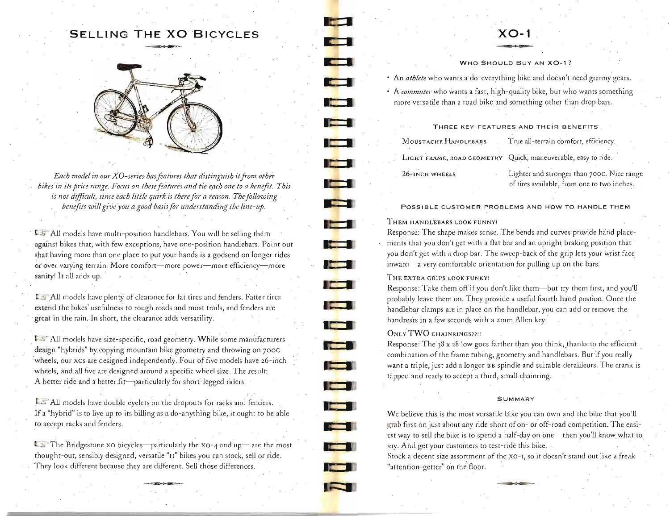# **SELLING THE XO BICYCLES** -.~



*Each model in our XO-series has features that distinguish it from other* bikes in its price range. Focus on these features and tie each one to a henefit. This *is not difficult, since each little quirk is there for a reason. The following* benefits will give you a good basis for understanding the line-up.

**T All models have multi-position handlebars. You will be selling them** against bikes that, with few exceptions, have one-position handlebars. Point out that having more than one place to put your hands is a godsend on longer rides of over varying terrain. More comfort-more power-more efficiency-more sanity! It all adds up.

**L.** All models have plenty of clearance for fat tires and fenders. Fatter tires extend the bikes' usefulness to rough roads and most trails, and fenders are great in the rain. In short, the clearance adds versatility.

L<sub>5</sub>: All models have size-specific, road geometry. While some manufacturers design "hybrids" by copying mountain bike geometry and throwing on 700c wheels, our xos are designed independently. Four of five models have 26-inch wheels, and all five *are* designed around a specific wheel size. The result: A better ride and a better fit-particularly for short-legged riders.

**I:** All models have double eyelets on the dropouts for racks and fenders. If a "hybrid" is to live up to its billing as a do-anything bike, it ought to be able to accept racks and fenders.

The Bridgestone xo bicycles-particularly the xo-4 and up-are the most thought-out, sensibly designed, versatile "H" bikes you can stock, sell or ride. They look different because they are different. Sell those differences.

# **XO-1**

# WHO SHOULD BUY AN XO-1?

• An *athlete* who wants a do-everything bike and doesn't need granny gears.

• A *commuter* who wants a fast, high-quality bike, but who wants something more versatile than a road bike and something other than drop bars.

# THREE KEY FEATURES AND THEiR BENEFITS

MOUSTACHE HANDLEBARS True all-terrain comfort, efficiency, LIGHT FRAME, ROAD GEOMETRY Quick, maneuverable, easy to ride. 26-INCH WHEELS Lighter and stronger rhan 70oc. Nice range of tires available, from one to two inches.

POSSIBLE CUSTOMER PROBLEMS AND HOW TO HANDLE THEM

### THEM HANDLEBARS LOOK FUNNY!

**II** I i

**• I** 

**The Second Second** 

ra 1

**The Fil** 

**ICE** 

T 7 1

**First** 

**PERSONAL** 

**•** 

Response: The shape makes sense. The bends and curves provide hand placernents that you don't get with a flat bar and an upright braking position that you don't get with a drop bar. The sweep-back of the grip lets your wrist face inward-a very comfortable orientation for pulling up on the bars.

# THE EXTRA GRIPS LOOK FUNKY!

Response: Take them off if you don't like them-but try them first, and you'll probably leave them on. They provide a useful fourth hand postion. Once the handlebar clamps are in place on the handlebar, *you* can add or remove the handrests in a few seconds with a 2mm Allen key.

# **ONLY TWO CHAINRINGS??!!**

Response: The  $38 \times 28$  low goes farther than you think, thanks to the efficient combination of the frame tubing, geometry and handlebars. But if you really want a triple, just add a longer BB spindle and suitable derailleurs. The crank is tapped and ready to accept a third, small chainring.

#### **SUMMARY**

We believe this is the most versatile bike you can own and the bike that you'll grab first on just about any ride short of on- or off-road competition.The easiest way to sell the bike is to spend a half-day on one-then you'll know what to say. And get your customers to test-ride this bike.

Stock a decent size assortment of the XO-I, so it doesn't stand out like a freak "attention-getter" on the floor.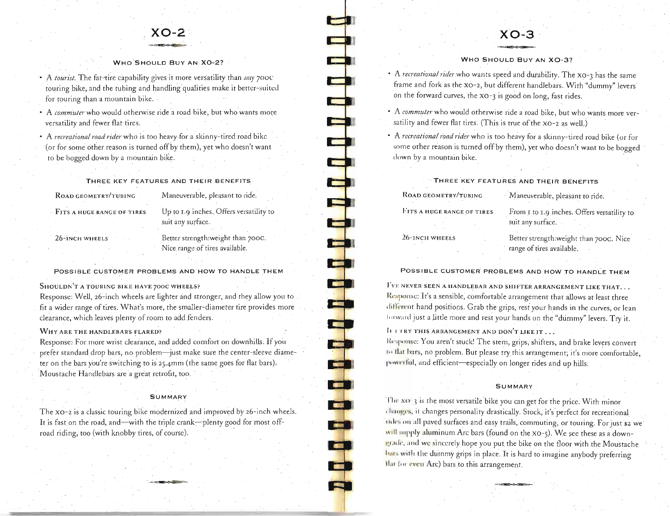

#### WHO SHOULD BUY AN XO-2?

• A *tourist*. The fat-tire capability gives it more versatility than any 700C touring bike, and the tubing and handling'qualities make it better-suited for touring than a mountain bike.

• A *commuter* who would otherwise ride a road bike, but who wants more versatility and fewer flat tires.

• A *recreational road rider* who is too heavy for a skinny-tired road bikc (or for some other reason is turned off by them), yet who doesn't want to be bogged down by a mountain bike.

THREE KEY FEATURES AND THEIR BENEFITS

| ROAD GEOMETRY/TUBING       |  |
|----------------------------|--|
|                            |  |
| FITS A HUGE RANGE OF TIRES |  |

Maneuverable, pleasant to ride. Up to 1.9 inches. Offers versatility to suit any surface.

#### 26-INCH WHEELS

Better strength:weight than 7ooe. Nice range of tires available.

**TEST** 

**Citricia** 

j

œ

### POSSIBLE CUSTOMER PROBLEMS AND HOW TO HANDLE THEM

### SHOULDN'T A TOURING BIKE HAVE 700C WHEELS?

Response: Well, 26-inch wheels are lighter and stronger, and they allow you to fit a wider range of tires. What's more, the smaller~diameter tire provides more clearance, which leaves plenty of room to add fenders.

# WHY ARE THE HANDLEBARS FLARED?

Response: For more wrist clearance, and added comfort on downhills. If you prefer standard drop bars, no problem-just make sure the center-sleeve diameter on the bars you're switching to is 25.4mm (the same goes for flat bars). Moustache Handlebars are a great retrofit, too.

#### **SUMMARY**

The XO-2 is a classic touring bike modernized and improved by 26-inch wheels. It is fast on the road, and—with the triple crank—plenty good for most offroad riding, too (with knobby tires, of course). '

# **XO-3**

### WHO SHOULD Buy AN XO-3?

• A *recreational riderwho* wants speed and durability. The xo-3 has the same frame and fork as the XO-2, but different handlebars. With "dummy" levers on the forward curves, the xo-3 is good on long, fast rides.

• A *commuter* who would otherwise ride a road bike, but who wants more versatility and fewer flat tires. (This is true of the  $xo-2$  as well.)

• A *recreational road rider* who is too heavy for a skinny-tired road bike (or for some other reason is turned off by them), yet who doesn't want to be bogged down by a mountain bike.

| THREE KEY FEATURES AND THEIR BENEFITS |                                                                     |  |
|---------------------------------------|---------------------------------------------------------------------|--|
| ROAD GEOMETRY/TUBING                  | Maneuverable, pleasant to ride.                                     |  |
| FITS A HUGE RANGE OF TIRES            | From 1 to 1.9 inches. Offers versatility to<br>suit any surface.    |  |
| 26-inch wheels                        | Better strength:weight than 700C. Nice<br>range of tires available. |  |

# POSSIBLE CUSTOMER PROBLEMS AND HOW TO HANDLE THEM

I'VE NEVER SEEN A HANDLEBAR AND SHIFTER ARRANGEMENT LIKE THAT... Response: It's a sensible, comfortable arrangement that allows at least three different hand positions. Grab the grips, rest your hands in the curves, or lean Iorward just a little more and rest your hands on the "dummy" levers. Try it.

I<sub>I</sub>  $\frac{1}{1}$  in the  $\frac{1}{1}$  arrangement and  $\frac{1}{1}$  don't like it...

Response: You aren't stuck! The stem, grips, shifters, and brake levers convert Io Ilat hars, no problem. But please try this arrangement; it's more comfortable, powerful, and efficient-especially on longer rides and up hills:

#### **SUMMARY**

The xo-3 is the most versatile bike you can get for the price. With minor , hanges, it changes personality drastically. Stock, it's perfect for recreational Titles on all paved surfaces and easy trails, commuting, or touring. For just \$2 we will supply aluminum Arc bars (found on the xo-5). We see these as a downin the lind we sincerely hope you put the bike on the floor with the Moustache luits with the durnmy grips in place. It is hard to imagine anybody preferring Ilat (or even Arc) bars to this arrangement. ~'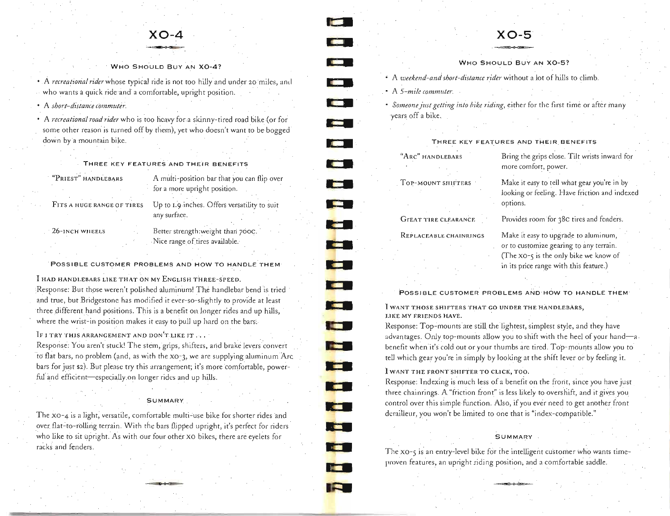

WHO SHOULD BUY AN XO-4?

• A *recreational rider* whose typical ride is not too hilly and under 20 miles, and who wants a quick ride and a comfortable, upright position.

• A *short-distance commuter.* 

• A *recreational road rider* who is too heavy fora skinny-tired road bike (or for some other reason is turned off by them), yet who doesn't want to be bogged down by a mountain bike.

THREE KEY FEATURES AND THEIR BENEFITS

"PRIEST" HANDLEBARS A multi-position bar that you can flip over

for a more upright position.

FITS A HUGE RANGE OF TIRES Up to 1.9 inches. Offers versatility to suit any surface.

26-INCH WILEELS Better strength:weight than 700C. Nice range of tires available.

POSSIBLE CUSTOMER PROBLEMS AND HOW TO HANDLE THEM

I HAD HANDLEBARS LIKE THAT ON MY ENGLISH THREE-SPEED.

Response: But those weren't polished aluminum! The handlebar bend is tried and true, but Bridgestone has modified it ever-so-slightly to provide at least three different hand positions. This is a benefit on longer rides and up hills, where the wrist-in position makes it easy to pull up hard on the bars;

IF I TRY THIS ARRANGEMENT AND DON'T LIKE IT...

Response: You aren't stuck! The stem, grips, shifters, and brake levers convert to flat bars, no problem (and, as with the xO~3, we are supplying aluminum Arc bars for just \$2). But please try this arrangement; it's more comfortable, powerful and efficient-especially on longer rides and up hills.

# SUMMARy

The XQ-4 is a light, versatile, comfortable multi~use bike for shorter rides and over flat-to-rolling terrain. With the bars flipped upright, it's perfect for riders who like to sit upright. As with our four other XO bikes, there are eyelets for racks and fenders.

# **XO-5**

WHO SHOULD BUY AN XO-5?

- A *weekend-and short-distance rider* without a lot of hills to climb.
- A *5-mile commuter.*

~

**<sup>I</sup>•** 

**I •** 

**......** 

**I •** 

• •

**<sup>I</sup>**••

**• •** 

**• •** 

**• •** 

**I: •** 

• •

**• •** 

**• • ••** 

**The Co** 

**••** 

**.....** 

**START OF** 

**a: •** 

- **•** Someone just getting into bike riding, either for the first time or after many years off a bike.
	-

THREE KEY FEATURES AND THEIR BENEFITS

"ARC" HANDLEBARS TOP-MOUNT SHIFTERS

GrEAT TIRE CLEARANCE

REPLACEABLE CHAINRINGS

Bring the grips close. Tilt wrists inward for more comfort, power.

Make it easy to tell what gear you're in by looking or feeling. Have friction and indexed options.

Provides room for 38c tires and fenders.

Make it easy to upgrade to aluminum, or to customize gearing to any terrain. (The xo-s is the only bike we know of in its price range with this feature.)

POSSIBLE CUSTOMER PROBLEMS AND HOW TO HANDLE THEM

I WANT THOSE SHIFTERS THAT GO UNDER THE HANDLEBARS, I.1KE MY FRIENDS HAVE.

Response: Top-mounts are still the lightest, simplest style, and they have advantages. Only top-mounts allow you to shift with the heel of your hand-a. benefit when it's cold out or your thumbs are tired. Top-mounts allow you to tell which gear you're in simply by looking at the shift lever or by feeling it.

# 1 WANT THE FRONTSHIFTER TO CLICK, TOO.

Response: Indexing is much less of a benefit on the front, since you have just three chainrings. A "friction front" is less likely to overshift, and it gives you control over this simple function. Also, if you ever need to get another front derailleur, you won't be limited to one that is "index-compatible."

# **SUMMARY**

The xo-5 is an entry-level bike for the intelligent customer who wants timeproven features, an upright riding position, and a comfortable saddle.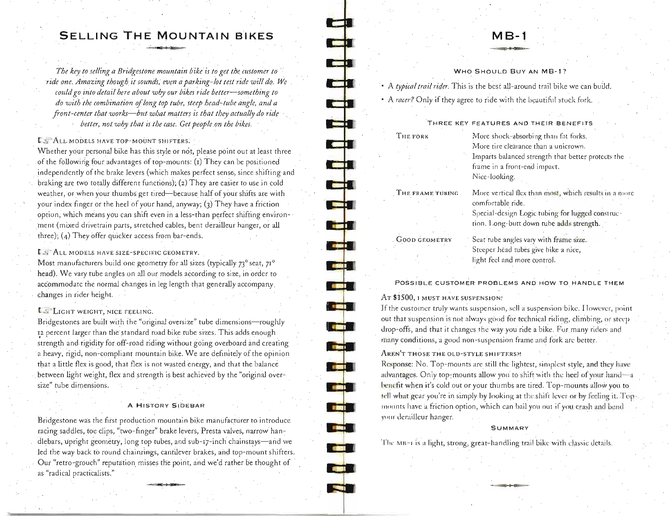# **SELLING THE MOUNTAIN BIKES**

-

 $\frac{1}{\sqrt{2}}$ 

--

- ~

--

5<br>-<br>I

--- 1

-**I.'** 

- **L.r( i** 

11

**India** 

- I

**• •** 

~ **--**

-= '. -

i<br>1

 $\overline{a}$ 

**RED** 1

 $\frac{1}{2}$ 

**COLLE** 

The key to selling a Bridgestone mountain bike is to get the customer to ride one. Amazing though it sounds, even a parking-lot test ride will do. We *could go into detail here about why our bikes ride better-something to do with the combination* of *long top tube, steep head-tube angle, and a front-center that works-but what matters is that they actually do ride better, not why that is the case. Get people on the bikes.* 

**L.:** ALL MODELS HAVE TOP-MOUNT SHIFTERS.

Whether your personal bike has this style or not, please point out at least three of the following four advantages of top-mounts: (1) They can be positioned independently of the brake levers (which makes perfect sense, since shifting and braking are two totally different functions), (2) They are easier to use in cold weather, or when your thumbs get tired-because half of your shifts are with your index finger or the heel of your hand, anyway; (3) They have a friction option, which means you can shift even in a less-than perfect shifting environ ment (mixed drivetrain parts, stretched cables, bent derailleur hanger, or all three); (4) They offer quicker access from bar-ends.

L. ALL MODELS HAVE SIZE-SPECIFIC GEOMETRY.

Most manufacturers build one geometry for all sizes (typically 73° seat, 71° head), We vary tube angles on all our models according to size, in order to accommodate the normal changes in leg length that generally accompany, changes in rider height.

# **L...** LIGHT WEIGHT, NICE FEELING.

Bridgestones are built with the "original oversize" tube dimensions-roughly 12 percent larger than the standard road bike tube sizes. This adds enough strength and rigidity for off-road riding without going overboard and creating a heavy, rigid, non-compliant mountain bike. We are definitely of the opinion that a little flex is good, that flex is not wasted energy, and that the balance between light weight, flex and strength is best achieved by the "original oversize" tube dimensions.

### A HISTORY SIDEBAR

Bridgestone was the first production mountain bike manufacturer to introduce racing saddles, toe clips, "two-finger" brake levers, Presta valves, narrow handlebars, upright geometry, long top tubes, and sub-17-inch chainstays-and we led the way back to round chainrings, cantilever brakes, and top-mount shifters. Our "retro-grouch" reputation misses the poirit, and we'd rather be thought of as "radical practicalists."

# **MB-1**

### WHO SHOULD BUY AN MB-1?

• A *typical trail rider*. This is the best all-around trail bike we can build.

• A *racer?* Only if they agree to ride with the beautiful stock fork.

#### THREE KEY FFATURES AND THEIR BENFFITS

| THE FORK             | More shock-absorbing than fat forks.                                       |  |
|----------------------|----------------------------------------------------------------------------|--|
|                      | More tire clearance than a unicrown.                                       |  |
|                      | Imparts balanced strength that better protects the                         |  |
|                      | frame in a front-end impact.                                               |  |
|                      | Nice-looking.                                                              |  |
| THE FRAME TUBING     | More vertical flex than most, which results in a more<br>comfortable ride. |  |
|                      | Special-design Logic tubing for lugged construc-                           |  |
|                      | tion. Long-butt down tube adds strength.                                   |  |
| <b>GOOD GEOMETRY</b> | Seat tube angles vary with frame size.                                     |  |
|                      | Steeper head tubes give bike a nice,                                       |  |
|                      | light feel and more control.                                               |  |

POSSIBLE CUSTOMER PROBLEMS AND HOW TO HANDLE THEM

# AT \$1500, I MUST HAVE SUSPENSION!

If the customer truly wants suspension, sell a suspension bike. I lowever, point out that suspension is not always good for technical riding, climbing, or steep drop-offs, and that it changes the way you ride a bike. For many riders and many conditions, a good non-suspension frame and fork are better.

# AREN'T THOSE THE OLD-STYLE SHIFTERS?!

Response: No. Top-mounts are still the lightest, simplest style, and they have advantages. Only top-mounts allow you to shift with the heel of your hand-a benefit when it's cold out or your thumbs are tired. Top-mounts allow you to tell what gear you're in simply by looking at the shift lever or by feeling it. Topmounts have a friction option, which can bail you out if you crash and bend your dcmilleur hanger.

#### **SUMMARY**

The MB-1 is a light, strong, great-handling trail bike with classic details.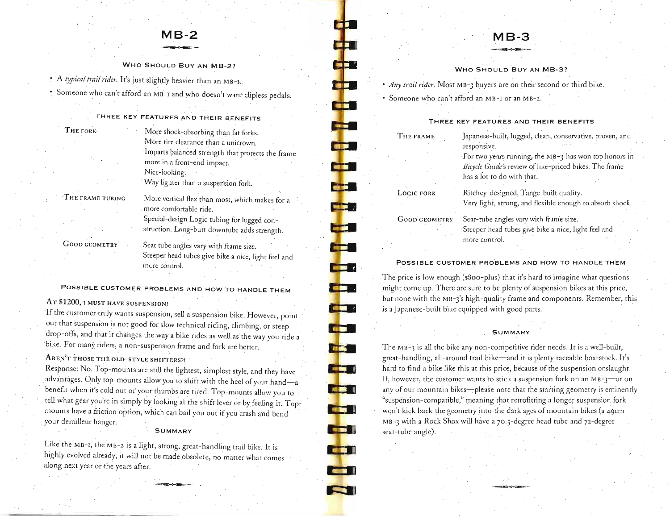# **MB-2**

WHO SHOULD BUY AN MB-2?

• A *typical trail rider*. It's just slightly heavier than an MB-I..

• Someone who can't afford an MB-I and who doesn't Want clipless pedals.

# THREE KEY FEATURES AND THEIR BENEFITS

. more comfortable ride.

| r.<br>ч | ORK<br>ю |  |
|---------|----------|--|
|         |          |  |

More shock-absorbing than fat forks. More tire clearance than a unicrown. Imparts balanced strength that protects the frame more in a front-end impact. Nice-looking. ··Way ligbter than a suspension fork.

a m

an an

the se

**The State** 

**THE R** 

an B

a bi s

**CEL** 

ŧ

t i

. **CEST** 

**GILLER** 

THE FRAME TUBING

GOOD GEOMETRY

Seat tube angles vary with frame size. Steeper head tubes give bike a nice, light feel and more control.

More vertical flex than most, which makes for a

Special-design Logic tubing for lugged construction. Long-butt downtube adds strength.

POSSIBLE CUSTOMER PROBLEMS AND HOW TO HANDLE THEM

# AT \$1200,1 MUST HAVE SUSPENSION!

If the customer truly wants suspension, *sell* a suspension bike. However, point out that suspension is not good for slow technical riding, climbing, or steep drop-offs, and that it changes the way a bike rides as well as the way you ride a bike. For many riders, a non-suspension frame and fork are better.

AREN'T THOSE THE OLD-STYLE SHIFTERS?!

Response: No. Top-mounts are still the lightest, *simplest* style, and they have advantages. Only top-mounts allow you to shift with the heel of your hand-a benefit when it's *cold* out or your thumbs are tired. Top-mounts allow you to *tell* what gear you're in *simply* by looking at the shift lever or by feeling it. Topmounts have a friction option, which can bail you out if you crash and bend your derailleur hanger. .

#### SUMMARY

Like the MB-1, the MB-2 is a light, strong, great-handling trail bike. It is highly evolved already; it will not be made obsolete, no matter what comes along next year or the years after.

# **MB-3**

### WHO SHOULD Buy AN MB-3?

*• Any trail rider.* Most MB-3 buyers are on their second or third bike . • Someone who can't afford an MB-I or an MB-2.

#### THREE KEY FEATURES AND THEIR BENEFITS

| THE FRAME            | Japanese-built, lugged, clean, conservative, proven, and<br>responsive.                                                                       |
|----------------------|-----------------------------------------------------------------------------------------------------------------------------------------------|
|                      | For two years running, the MB-3 has won top honors in<br>Bicycle Guide's review of like-priced bikes. The frame<br>has a lot to do with that. |
| LOGIC FORK           | Ritchey-designed, Tange-built quality.<br>Very light, strong, and flexible enough to absorb shock.                                            |
| <b>GOOD GEOMETRY</b> | Seat-tube angles vary with frame size.<br>Steeper head tubes give bike a nice, light feel and<br>more control.                                |
|                      |                                                                                                                                               |

### POSSIBLE CUSTOMER PROBLEMS AND HOW TO HANDLE THEM

The price is *low* enough (\$8oo-plus) that it's hard to imagine what questions might come up. There are sure to be plenty of suspension bikes at this price, but none with the MB-3's high-quality frame and components. Remember, this is a Japanese-built bike equipped with good parts.

#### **SUMMARY**

The MB-3 is all the bike any non-competitive rider needs. It is a well-built, great-handling, all-around trail bike-and it is plenty raceable box-stock. It's hard to find a bike like this at this price, because of the suspension onslaught. If, however, the customer wants to stick a suspension fork on an MB-3-or on any of our mountain bikes-please note that the starting geometry is eminently "suspension-compatible," meaning that retrofitting a longer suspension fork won't kick back the geometry into the dark ages of mountain bikes (a 49cm MB-3 with a Rock Shox will have a 70.5-degree head tube and 72-degree seat-tube angle).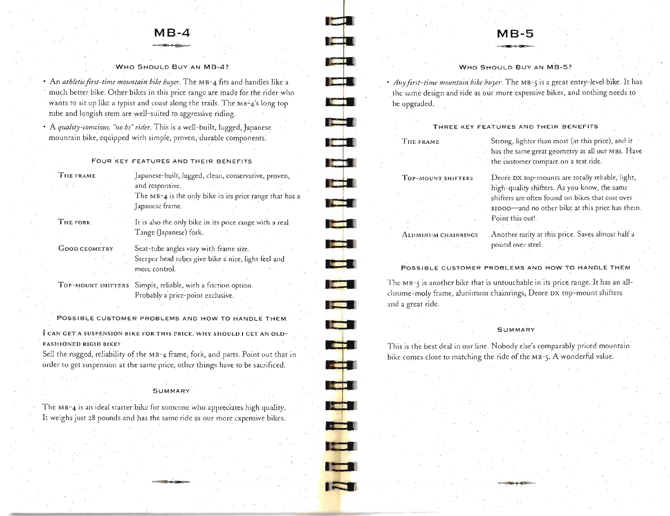# **MB-4**

# WHO SHOULD BUY AN MB-4?

• An *athletic first-time mountain bike buyer*. The MB-4 fits and handles like a much better bike. Other bikes in this price range are made for the rider who wants to sit up like a typist and coast along the trails. The MB-4's long top tube and longish stem are well-suited to aggressive riding.

• A *quality-conscious, "no bs" rider*. This is a well-built, lugged, Japanese mountain bike, equipped with simple, proven, durable components.

FOUR KEY FEATURES AND THEIR BENEFITS

| THE FRAME |  |
|-----------|--|
|           |  |

Japanese-built, lugged, clean, conservative, proven, and responsive. The MB-4 is the only bike in its price range that has a Japanese frame.

THE FORK

It is also the only bike in its price range with a real Tange (Japanese) fork.

GOOD GEOMETRY

Seat-tube angles vary with frame size. Steeper head tubes give bike a nice, light feel and more control.

TOP-MOUNT SHIFTERS Simple, reliable, with a friction option. Probably a price-point exclusive.

POSSIBLE CUSTOMER PROBLEMS AND HOW TO HANDLE THEM I CAN GET A SUSPENSION BIKE FOR THIS PRICE. WHY SHOULD I GET AN OLD-

FASHIONED RIGID BIKE?

Sell the rugged, reliability of the MB-4 frame, fork, and parts. Point out that in order to get suspension at the same price, other things have to be sacrificed .

### **SUMMARY**

The MB-4 is an ideal starter bike for someone who appreciates high quality. It weighs just 28 pounds and has the same ride as our more expensive bikes.

# **MB-5**

WHO SHOULD BUY AN MB-5?

• *Any first-time mountain bike huyer*. The MB-5 is a great entry-level bike. It has the same design and ride as our more expensive bikes, and nothing needs to be upgraded.

# THREE KEY FEATURES AND THEIR BENEFITS

#### TII£ FRAME

**Louis** 

 $\blacksquare$ 

ا اکترا

ا است

**The Second Second** 

liai I

**Total** 

**The Fi** 

**Command** 

**Reader** 

**Kanada** 

**The Contract of the Contract of the Contract of The Contract of The Contract of The Contract of The Contract o** 

**Agir 1** 

 $\frac{1}{2}$ 

 $\sim$  2000  $\pm$ 

#### TOP-MOUNT SHIFTER S

Strong, lighter than most (at this price), and it has the same great geometry as all our MBs. Have the customer compare on a test ride.

Deore DX top-mounts are totally reliable, light, high-quality shifters. As you know, the same shifters are often found on. bikes that cost ovei' \$IOoo-and no other bike at this price has them.

ALUMINUM CHAINRINGS

Another rarity at this price. Saves almost half a pound over steel.

POSSIBLE CUSTOMER PROBLEMS AND HOW TO HANDLE THEM

Point this out!

The MB-5 is another bike that is untouchable in its price range. It has an allchrome-moly frame, alunimum chainrings, Deore DX top-mount shifters and a great ride.

**SUMMARY** 

This is the best deal in our line. Nobody else's comparably priced mountain bike comes close to matching the ride of the MB-5. A wonderful value.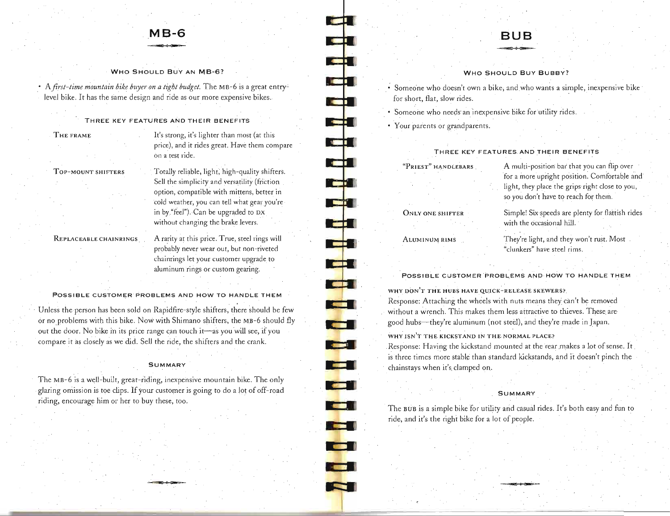# **MB-6**

#### WHO SHOULD BUY AN MB-6?

• A *first-time mountain bike buyer on a tight budget.* The MB-6 is a great entrylevel bike. It has the same design and ride as our more expensive bikes.

# THREE KEY FEATURES AND THEIR BENEFITS

### THE FRAME

It's strong, it's lighter than most (at this price), and it rides great. Have them compare on a test ride.

### TOP-MOUNT SHIFTERS

Totally reliable, light; high-guality shifters. Sell the simplicity and versatility (friction option, compatible with mittens, better in cold weather, you can tell what gear you're in by "feel"). Can be upgraded to DX without changing the brake levers.

### REPLACEABLE CHAINRINGS

A rarity at this price. True, steel rings will probably never wear out, but non-riveted chainrings let your customer upgrade to aluminum rings or custom gearing.

### POSSIBLE CUSTOMER PROBLEMS AND HOW TO HANDLE THEM

. Unless the person has been sold on Rapidfire-style shifters, there should be few or no problems with this bike. Now with Shimano shifters, the MB-6 should fly out the door. No bike in its price range can touch it-as you will see, if you compare it as closely as we did. Sell the ride, the shifters and the crank.

### **SUMMARY**

The MB-6 is a well-built, great-riding, inexpensive mountain bike. The only glaring omission is toe clips. If *your* customer is going to do a lot of off-road riding, encourage him or her to buy these, too.

. ~

# **BUB**

#### WHO SHOULD BUY BUBBY?

- Someone who doesn't own a bike, and who wants a simple, inexpensive bike for short, flat, slow rides.
- Someone who needs an inexpensive bike for utility rides.
- Your parents or grandparents.

 $\blacksquare$ 

**rd** 

.. **--.I** 

<u>ei l</u>

**- j** 

-<br>-<br>-**\_\_ I** 

-

..

**- 1** 

**-**

**THE R** 

**COL** 

**The Second Second** 

 $\epsilon$  and  $\epsilon$ 

 $\overline{\phantom{a}}$ 

وإوا

--I

 $\frac{1}{2}$ 

# THREE KEY FEATURES AND THEIR BENEFITS

"PRIEST" HANDLEBARS

# ONLY ONE SHIFTER

ALUMINUM RIMS

A multi-position bar that you can flip over for a more upright position. Comfortable and light, they place the grips right close to you, so you don't have to reach for them.

Simple! Six speeds are plenty for flartish rides with the occasional hill.

They're light, and they won't rust. Most "clunkers" have steel rims.

POSSIBLE CUSTOMER PROBLEMS AND HOW TO HANDLE THEM

WHY DON'T THE HUBS HAVE QUICK-RELEASE SKEWERS?

Response: Attaching the wheels with nuts means they can't be removed without a wrench. This makes them less attractive to thieves. These are good hubs-they're aluminum (not steel), and they're made in Japan.

WHY ISN'T THE KICKSTAND IN THE NORMAL PLACE?

Response: Having the kickstand mounted at the rear makes a lot of sense. It is three times more stable than standard kickstands, and it doesn't pinch the chainstays when it's. clamped on.

#### **SUMMARY**

The BUB is a simple bike for utility arid casual rides. It's both easy and fun to ride, and it's the right bike for a lot of people.